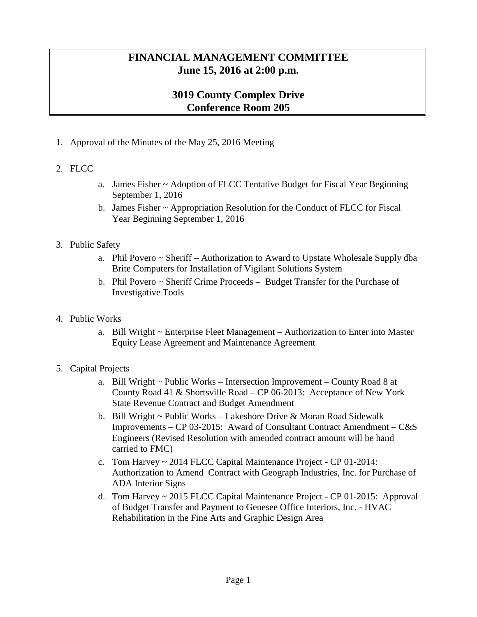## **FINANCIAL MANAGEMENT COMMITTEE June 15, 2016 at 2:00 p.m.**

## **3019 County Complex Drive Conference Room 205**

1. Approval of the Minutes of the May 25, 2016 Meeting

## 2. FLCC

- a. James Fisher ~ Adoption of FLCC Tentative Budget for Fiscal Year Beginning September 1, 2016
- b. James Fisher ~ Appropriation Resolution for the Conduct of FLCC for Fiscal Year Beginning September 1, 2016

## 3. Public Safety

- a. Phil Povero ~ Sheriff Authorization to Award to Upstate Wholesale Supply dba Brite Computers for Installation of Vigilant Solutions System
- b. Phil Povero ~ Sheriff Crime Proceeds Budget Transfer for the Purchase of Investigative Tools
- 4. Public Works
	- a. Bill Wright ~ Enterprise Fleet Management Authorization to Enter into Master Equity Lease Agreement and Maintenance Agreement
- 5. Capital Projects
	- a. Bill Wright ~ Public Works Intersection Improvement County Road 8 at County Road 41 & Shortsville Road – CP 06-2013: Acceptance of New York State Revenue Contract and Budget Amendment
	- b. Bill Wright ~ Public Works Lakeshore Drive & Moran Road Sidewalk Improvements – CP 03-2015: Award of Consultant Contract Amendment – C&S Engineers (Revised Resolution with amended contract amount will be hand carried to FMC)
	- c. Tom Harvey ~ 2014 FLCC Capital Maintenance Project CP 01-2014: Authorization to Amend Contract with Geograph Industries, Inc. for Purchase of ADA Interior Signs
	- d. Tom Harvey ~ 2015 FLCC Capital Maintenance Project CP 01-2015: Approval of Budget Transfer and Payment to Genesee Office Interiors, Inc. - HVAC Rehabilitation in the Fine Arts and Graphic Design Area